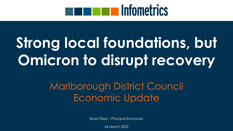# **ENTERIT IN Infometrics**

# **Strong local foundations, but Omicron to disrupt recovery**

### Marlborough District Council Economic Update

Brad Olsen – Principal Economist

24 March 2022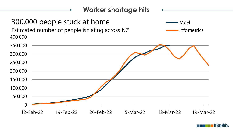

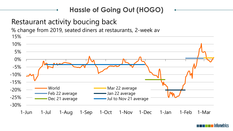### **Hassle of Going Out (HOGO)**

### Restaurant activity boucing back

% change from 2019, seated diners at restaurants, 2-week av



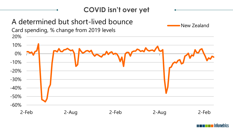

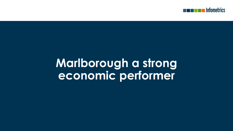

## **Marlborough a strong economic performer**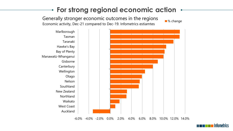### **For strong regional economic action**

Generally stronger economic outcomes in the regions Economic activity, Dec-21 compared to Dec-19. Infometrics estiamtes

■% change



-6.0% -4.0% -2.0% 0.0% 2.0% 4.0% 6.0% 8.0% 10.0% 12.0% 14.0%

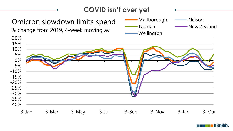### **COVID isn't over yet**









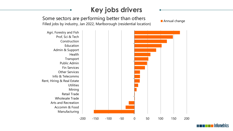### **Key jobs drivers**

Some sectors are performing better than others Filled jobs by industry, Jan 2022, Marlborough (residential location)

**Annual change** 



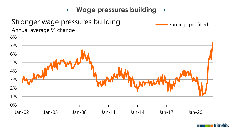

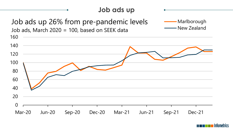### **Job ads up** 0 20 40 60 80 100 120 140 160 Mar-20 Jun-20 Sep-20 Dec-20 Mar-21 Jun-21 Sep-21 Dec-21 Job ads up 26% from pre-pandemic levels Job ads, March 2020 = 100, based on SEEK data Marlborough New Zealand

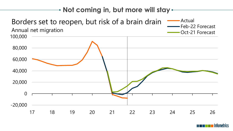### **Not coming in, but more will stay**



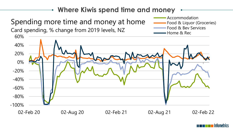#### **Where Kiwis spend time and money** -100% -80% -60% -40% -20% 0% 20% 40% 60% 02-Feb 20 02-Aug 20 02-Feb 21 02-Aug 21 02-Feb 22 Spending more time and money at home Card spending, % change from 2019 levels, NZ Accommodation Food & Liquor (Groceries) Food & Bev Services Home & Rec

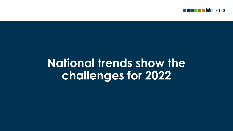

## **National trends show the challenges for 2022**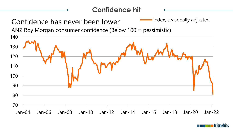

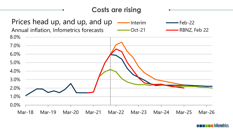### **Costs are rising**



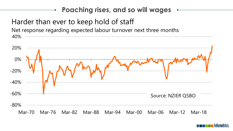### **Poaching rises, and so will wages**

### Harder than ever to keep hold of staff

40% Net response regarding expected labour turnover next three months



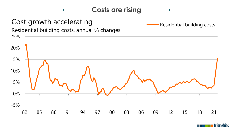### **Costs are rising**

#### 25% Cost growth accelerating Residential building costs, annual % changes

-5% 0% 5% 10% 15% 20% 82 85 88 91 94 97 00 03 06 09 12 15 18 21

Residential building costs

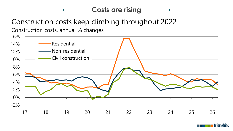### **Costs are rising**

### Construction costs keep climbing throughout 2022

Construction costs, annual % changes



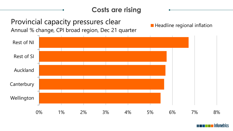### **Costs are rising** 0% 1% 2% 3% 4% 5% 6% 7% 8% Wellington **Canterbury** Auckland Rest of SI Rest of NI Provincial capacity pressures clear Annual % change, CPI broad region, Dec 21 quarter **Headline regional inflation**

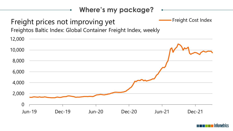### **Where's my package?**  $\bullet$ - Freight Cost Index Freight prices not improving yet Freightos Baltic Index: Global Container Freight Index, weekly 12,000 10,000 8,000 6,000 4,000 2,000 0 Jun-19 Dec-19 Jun-20 Dec-20 Jun-21 Dec-21

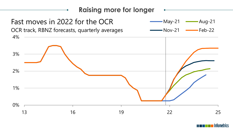

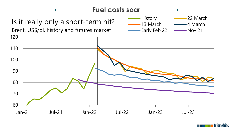